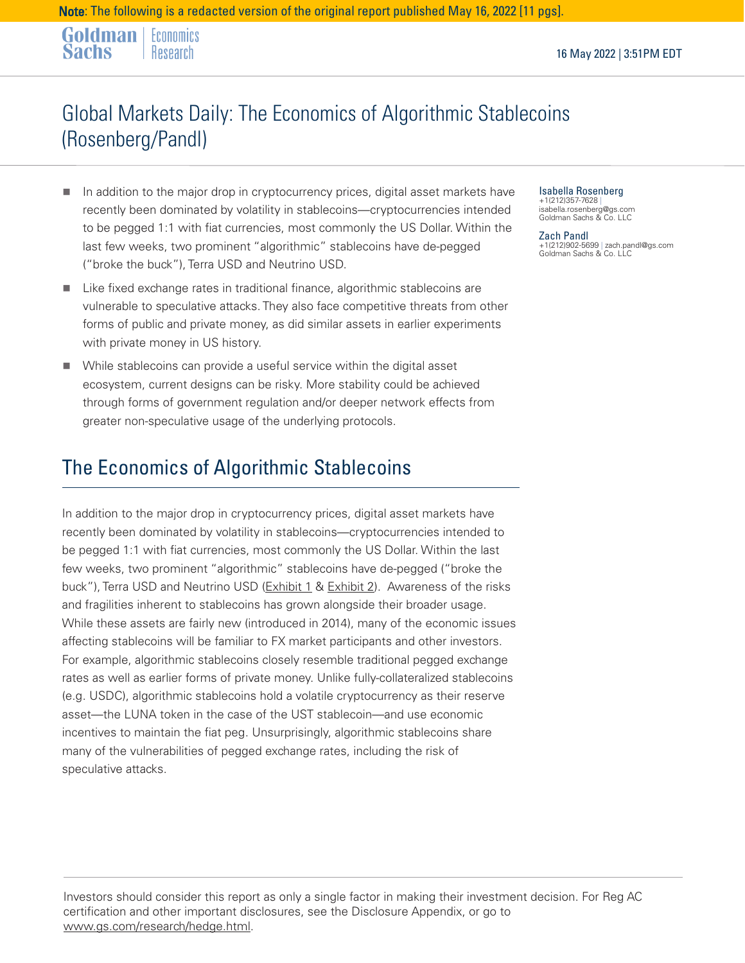Goldman Economics **Sachs** Research

16 May 2022 | 3:51PM EDT

# Global Markets Daily: The Economics of Algorithmic Stablecoins (Rosenberg/Pandl)

- In addition to the major drop in cryptocurrency prices, digital asset markets have recently been dominated by volatility in stablecoins—cryptocurrencies intended to be pegged 1:1 with fiat currencies, most commonly the US Dollar. Within the last few weeks, two prominent "algorithmic" stablecoins have de-pegged ("broke the buck"), Terra USD and Neutrino USD.
- Like fixed exchange rates in traditional finance, algorithmic stablecoins are vulnerable to speculative attacks. They also face competitive threats from other forms of public and private money, as did similar assets in earlier experiments with private money in US history.
- While stablecoins can provide a useful service within the digital asset ecosystem, current designs can be risky. More stability could be achieved through forms of government regulation and/or deeper network effects from greater non-speculative usage of the underlying protocols.

# The Economics of Algorithmic Stablecoins

In addition to the major drop in cryptocurrency prices, digital asset markets have recently been dominated by volatility in stablecoins—cryptocurrencies intended to be pegged 1:1 with fiat currencies, most commonly the US Dollar. Within the last few weeks, two prominent "algorithmic" stablecoins have de-pegged ("broke the buck"), Terra USD and Neutrino USD [\(Exhibit 1](#page-1-0) & [Exhibit 2\)](#page-1-1). Awareness of the risks and fragilities inherent to stablecoins has grown alongside their broader usage. While these assets are fairly new (introduced in 2014), many of the economic issues affecting stablecoins will be familiar to FX market participants and other investors. For example, algorithmic stablecoins closely resemble traditional pegged exchange rates as well as earlier forms of private money. Unlike fully-collateralized stablecoins (e.g. USDC), algorithmic stablecoins hold a volatile cryptocurrency as their reserve asset—the LUNA token in the case of the UST stablecoin—and use economic incentives to maintain the fiat peg. Unsurprisingly, algorithmic stablecoins share many of the vulnerabilities of pegged exchange rates, including the risk of speculative attacks.

Isabella Rosenberg +1(212)357-7628 | [isabella.rosenberg@gs.com](mailto:isabella.rosenberg@gs.com?subject=The%20Economics%20of%20Algorithmic%20Stablecoins%20%28Rosenberg%2FPandl%29) Goldman Sachs & Co. LLC

Zach Pandl +1(212)902-5699 | [zach.pandl@gs.com](mailto:zach.pandl@gs.com?subject=The%20Economics%20of%20Algorithmic%20Stablecoins%20%28Rosenberg%2FPandl%29) Goldman Sachs & Co. LLC

Investors should consider this report as only a single factor in making their investment decision. For Reg AC certification and other important disclosures, see the Disclosure Appendix, or go to [www.gs.com/research/hedge.html.](https://www.gs.com/research/hedge.html)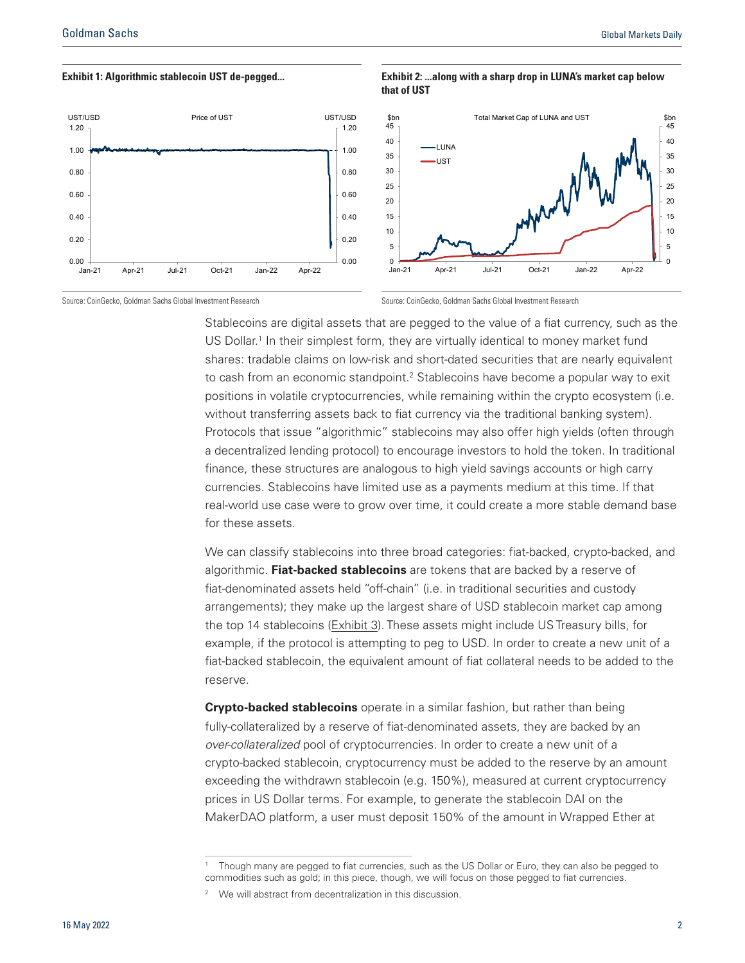

#### **Exhibit 1: Algorithmic stablecoin UST de-pegged... Exhibit 2: ...along with a sharp drop in LUNA's market cap below that of UST**

<span id="page-1-1"></span><span id="page-1-0"></span>

Source: CoinGecko, Goldman Sachs Global Investment Research Source: CoinGecko, Goldman Sachs Global Investment Research

Stablecoins are digital assets that are pegged to the value of a fiat currency, such as the US Dollar.<sup>1</sup> In their simplest form, they are virtually identical to money market fund shares: tradable claims on low-risk and short-dated securities that are nearly equivalent to cash from an economic standpoint.<sup>2</sup> Stablecoins have become a popular way to exit positions in volatile cryptocurrencies, while remaining within the crypto ecosystem (i.e. without transferring assets back to fiat currency via the traditional banking system). Protocols that issue "algorithmic" stablecoins may also offer high yields (often through a decentralized lending protocol) to encourage investors to hold the token. In traditional finance, these structures are analogous to high yield savings accounts or high carry currencies. Stablecoins have limited use as a payments medium at this time. If that real-world use case were to grow over time, it could create a more stable demand base for these assets.

We can classify stablecoins into three broad categories: fiat-backed, crypto-backed, and algorithmic. **Fiat-backed stablecoins** are tokens that are backed by a reserve of fiat-denominated assets held "off-chain" (i.e. in traditional securities and custody arrangements); they make up the largest share of USD stablecoin market cap among the top 14 stablecoins [\(Exhibit 3\)](#page-2-0). These assets might include US Treasury bills, for example, if the protocol is attempting to peg to USD. In order to create a new unit of a fiat-backed stablecoin, the equivalent amount of fiat collateral needs to be added to the reserve.

**Crypto-backed stablecoins** operate in a similar fashion, but rather than being fully-collateralized by a reserve of fiat-denominated assets, they are backed by an over-collateralized pool of cryptocurrencies. In order to create a new unit of a crypto-backed stablecoin, cryptocurrency must be added to the reserve by an amount exceeding the withdrawn stablecoin (e.g. 150%), measured at current cryptocurrency prices in US Dollar terms. For example, to generate the stablecoin DAI on the MakerDAO platform, a user must deposit 150% of the amount in Wrapped Ether at

<sup>1</sup> Though many are pegged to fiat currencies, such as the US Dollar or Euro, they can also be pegged to commodities such as gold; in this piece, though, we will focus on those pegged to fiat currencies.

<sup>&</sup>lt;sup>2</sup> We will abstract from decentralization in this discussion.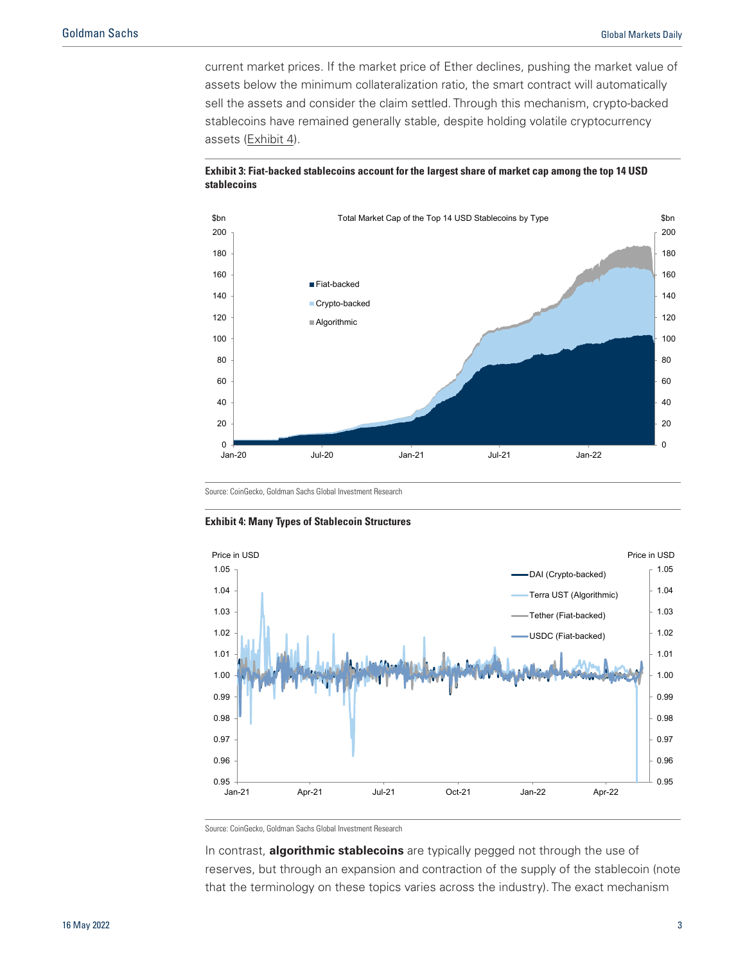<span id="page-2-0"></span>current market prices. If the market price of Ether declines, pushing the market value of assets below the minimum collateralization ratio, the smart contract will automatically sell the assets and consider the claim settled. Through this mechanism, crypto-backed stablecoins have remained generally stable, despite holding volatile cryptocurrency assets [\(Exhibit 4\)](#page-2-1).





<span id="page-2-1"></span>Source: CoinGecko, Goldman Sachs Global Investment Research





Source: CoinGecko, Goldman Sachs Global Investment Research

In contrast, **algorithmic stablecoins** are typically pegged not through the use of reserves, but through an expansion and contraction of the supply of the stablecoin (note that the terminology on these topics varies across the industry). The exact mechanism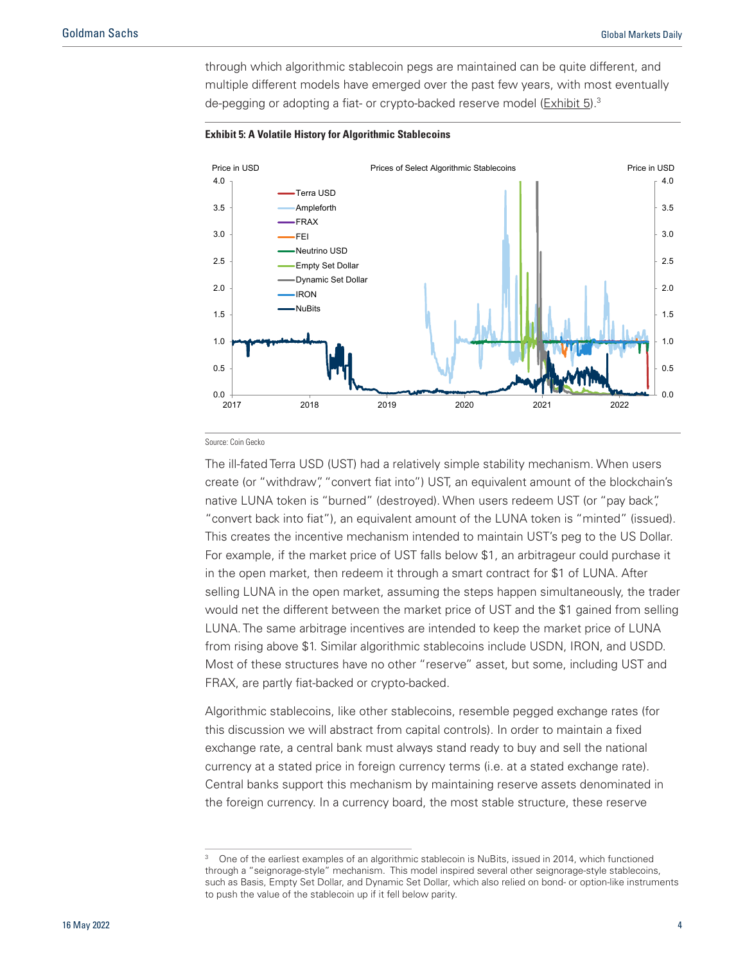<span id="page-3-0"></span>through which algorithmic stablecoin pegs are maintained can be quite different, and multiple different models have emerged over the past few years, with most eventually de-pegging or adopting a fiat- or crypto-backed reserve model [\(Exhibit 5\)](#page-3-0).<sup>3</sup>





## Source: Coin Gecko

The ill-fated Terra USD (UST) had a relatively simple stability mechanism. When users create (or "withdraw", "convert fiat into") UST, an equivalent amount of the blockchain's native LUNA token is "burned" (destroyed). When users redeem UST (or "pay back", "convert back into fiat"), an equivalent amount of the LUNA token is "minted" (issued). This creates the incentive mechanism intended to maintain UST's peg to the US Dollar. For example, if the market price of UST falls below \$1, an arbitrageur could purchase it in the open market, then redeem it through a smart contract for \$1 of LUNA. After selling LUNA in the open market, assuming the steps happen simultaneously, the trader would net the different between the market price of UST and the \$1 gained from selling LUNA. The same arbitrage incentives are intended to keep the market price of LUNA from rising above \$1. Similar algorithmic stablecoins include USDN, IRON, and USDD. Most of these structures have no other "reserve" asset, but some, including UST and FRAX, are partly fiat-backed or crypto-backed.

Algorithmic stablecoins, like other stablecoins, resemble pegged exchange rates (for this discussion we will abstract from capital controls). In order to maintain a fixed exchange rate, a central bank must always stand ready to buy and sell the national currency at a stated price in foreign currency terms (i.e. at a stated exchange rate). Central banks support this mechanism by maintaining reserve assets denominated in the foreign currency. In a currency board, the most stable structure, these reserve

<sup>3</sup> One of the earliest examples of an algorithmic stablecoin is NuBits, issued in 2014, which functioned through a "seignorage-style" mechanism. This model inspired several other seignorage-style stablecoins, such as Basis, Empty Set Dollar, and Dynamic Set Dollar, which also relied on bond- or option-like instruments to push the value of the stablecoin up if it fell below parity.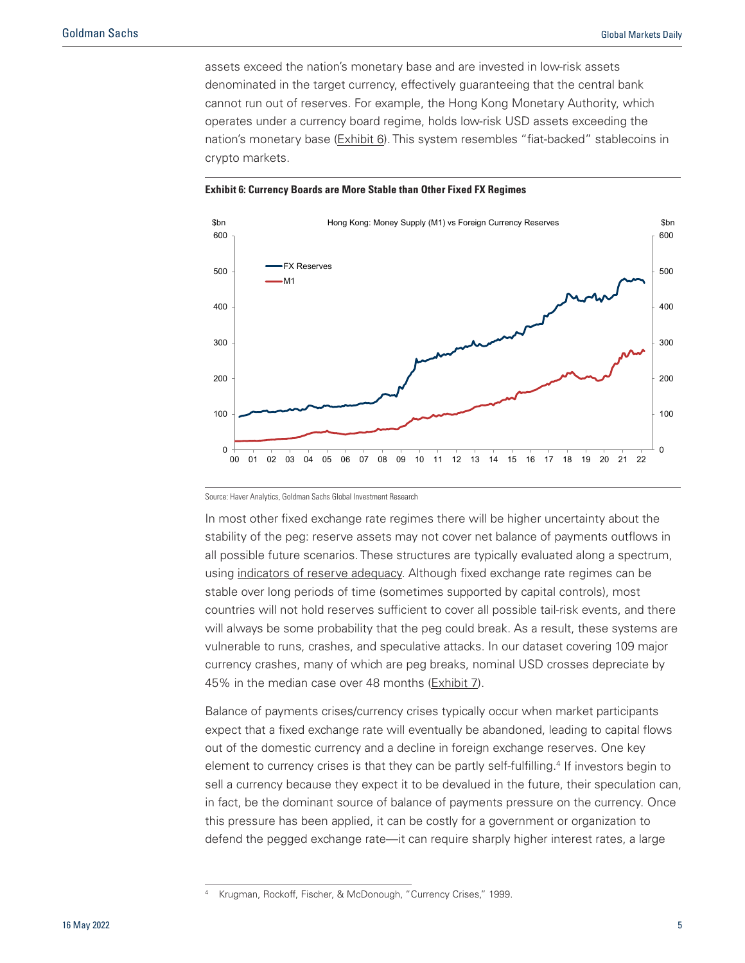assets exceed the nation's monetary base and are invested in low-risk assets denominated in the target currency, effectively guaranteeing that the central bank cannot run out of reserves. For example, the Hong Kong Monetary Authority, which operates under a currency board regime, holds low-risk USD assets exceeding the nation's monetary base [\(Exhibit 6\)](#page-4-0). This system resembles "fiat-backed" stablecoins in crypto markets.



# <span id="page-4-0"></span>**Exhibit 6: Currency Boards are More Stable than Other Fixed FX Regimes**

Source: Haver Analytics, Goldman Sachs Global Investment Research

In most other fixed exchange rate regimes there will be higher uncertainty about the stability of the peg: reserve assets may not cover net balance of payments outflows in all possible future scenarios. These structures are typically evaluated along a spectrum, using [indicators of reserve adequacy.](https://www.imf.org/external/np/spr/ara/) Although fixed exchange rate regimes can be stable over long periods of time (sometimes supported by capital controls), most countries will not hold reserves sufficient to cover all possible tail-risk events, and there will always be some probability that the peg could break. As a result, these systems are vulnerable to runs, crashes, and speculative attacks. In our dataset covering 109 major currency crashes, many of which are peg breaks, nominal USD crosses depreciate by 45% in the median case over 48 months [\(Exhibit 7\)](#page-5-0).

Balance of payments crises/currency crises typically occur when market participants expect that a fixed exchange rate will eventually be abandoned, leading to capital flows out of the domestic currency and a decline in foreign exchange reserves. One key element to currency crises is that they can be partly self-fulfilling.4 If investors begin to sell a currency because they expect it to be devalued in the future, their speculation can, in fact, be the dominant source of balance of payments pressure on the currency. Once this pressure has been applied, it can be costly for a government or organization to defend the pegged exchange rate—it can require sharply higher interest rates, a large

Krugman, Rockoff, Fischer, & McDonough, "Currency Crises," 1999.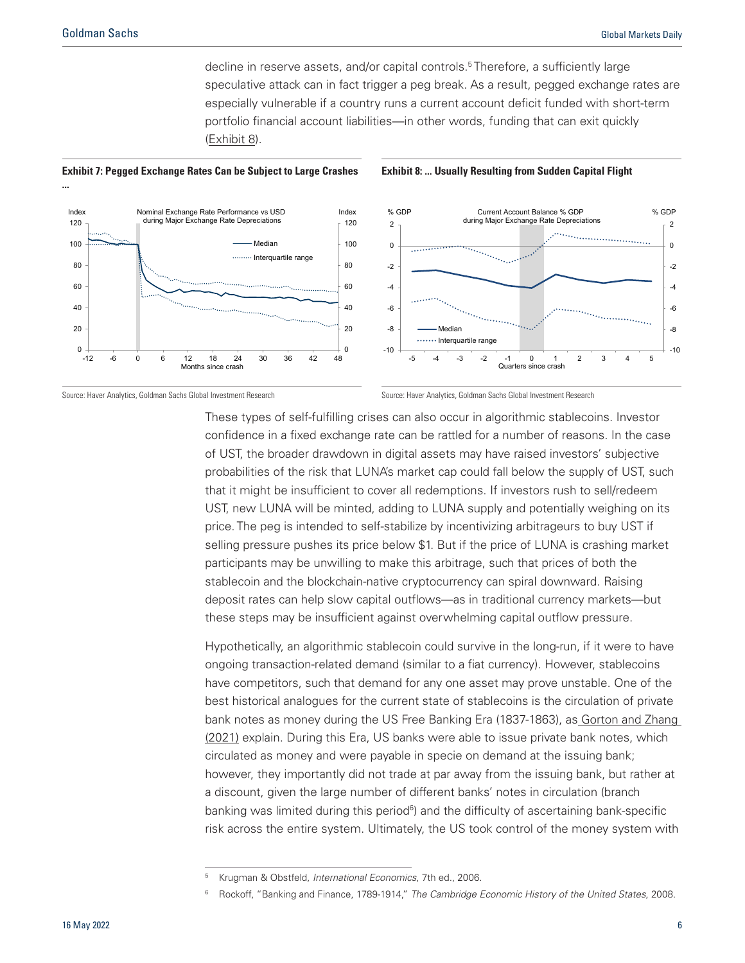decline in reserve assets, and/or capital controls.5 Therefore, a sufficiently large speculative attack can in fact trigger a peg break. As a result, pegged exchange rates are especially vulnerable if a country runs a current account deficit funded with short-term portfolio financial account liabilities—in other words, funding that can exit quickly [\(Exhibit 8\)](#page-5-1).



**Exhibit 7: Pegged Exchange Rates Can be Subject to Large Crashes**

<span id="page-5-1"></span><span id="page-5-0"></span>**Exhibit 8: ... Usually Resulting from Sudden Capital Flight**

Source: Haver Analytics, Goldman Sachs Global Investment Research Source: Haver Analytics, Goldman Sachs Global Investment Research

These types of self-fulfilling crises can also occur in algorithmic stablecoins. Investor confidence in a fixed exchange rate can be rattled for a number of reasons. In the case of UST, the broader drawdown in digital assets may have raised investors' subjective probabilities of the risk that LUNA's market cap could fall below the supply of UST, such that it might be insufficient to cover all redemptions. If investors rush to sell/redeem UST, new LUNA will be minted, adding to LUNA supply and potentially weighing on its price. The peg is intended to self-stabilize by incentivizing arbitrageurs to buy UST if selling pressure pushes its price below \$1. But if the price of LUNA is crashing market participants may be unwilling to make this arbitrage, such that prices of both the stablecoin and the blockchain-native cryptocurrency can spiral downward. Raising deposit rates can help slow capital outflows—as in traditional currency markets—but these steps may be insufficient against overwhelming capital outflow pressure.

Hypothetically, an algorithmic stablecoin could survive in the long-run, if it were to have ongoing transaction-related demand (similar to a fiat currency). However, stablecoins have competitors, such that demand for any one asset may prove unstable. One of the best historical analogues for the current state of stablecoins is the circulation of private bank notes as money during the US Free Banking Era (1837-1863), a[s Gorton and Zhang](https://papers.ssrn.com/sol3/papers.cfm?abstract_id=3888752) [\(2021\)](https://papers.ssrn.com/sol3/papers.cfm?abstract_id=3888752) explain. During this Era, US banks were able to issue private bank notes, which circulated as money and were payable in specie on demand at the issuing bank; however, they importantly did not trade at par away from the issuing bank, but rather at a discount, given the large number of different banks' notes in circulation (branch banking was limited during this period $\theta$ ) and the difficulty of ascertaining bank-specific risk across the entire system. Ultimately, the US took control of the money system with

<sup>&</sup>lt;sup>5</sup> Krugman & Obstfeld, International Economics, 7th ed., 2006.

<sup>&</sup>lt;sup>6</sup> Rockoff, "Banking and Finance, 1789-1914," The Cambridge Economic History of the United States, 2008.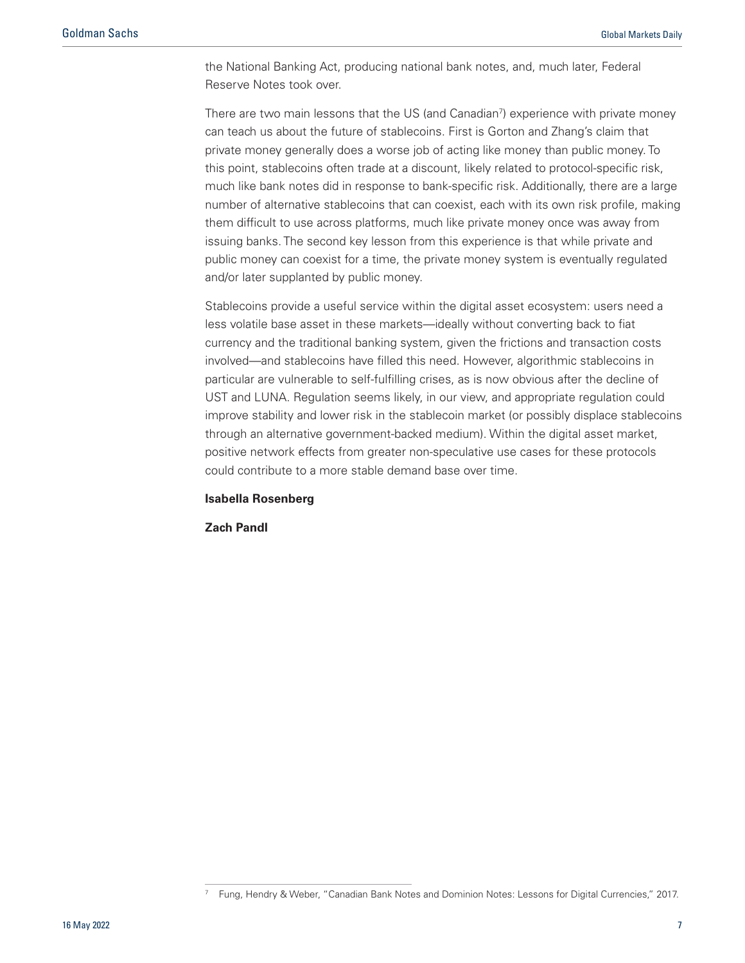the National Banking Act, producing national bank notes, and, much later, Federal Reserve Notes took over.

There are two main lessons that the US (and Canadian7) experience with private money can teach us about the future of stablecoins. First is Gorton and Zhang's claim that private money generally does a worse job of acting like money than public money. To this point, stablecoins often trade at a discount, likely related to protocol-specific risk, much like bank notes did in response to bank-specific risk. Additionally, there are a large number of alternative stablecoins that can coexist, each with its own risk profile, making them difficult to use across platforms, much like private money once was away from issuing banks. The second key lesson from this experience is that while private and public money can coexist for a time, the private money system is eventually regulated and/or later supplanted by public money.

Stablecoins provide a useful service within the digital asset ecosystem: users need a less volatile base asset in these markets—ideally without converting back to fiat currency and the traditional banking system, given the frictions and transaction costs involved—and stablecoins have filled this need. However, algorithmic stablecoins in particular are vulnerable to self-fulfilling crises, as is now obvious after the decline of UST and LUNA. Regulation seems likely, in our view, and appropriate regulation could improve stability and lower risk in the stablecoin market (or possibly displace stablecoins through an alternative government-backed medium). Within the digital asset market, positive network effects from greater non-speculative use cases for these protocols could contribute to a more stable demand base over time.

# **Isabella Rosenberg**

**Zach Pandl**

<sup>7</sup> Fung, Hendry & Weber, "Canadian Bank Notes and Dominion Notes: Lessons for Digital Currencies," 2017.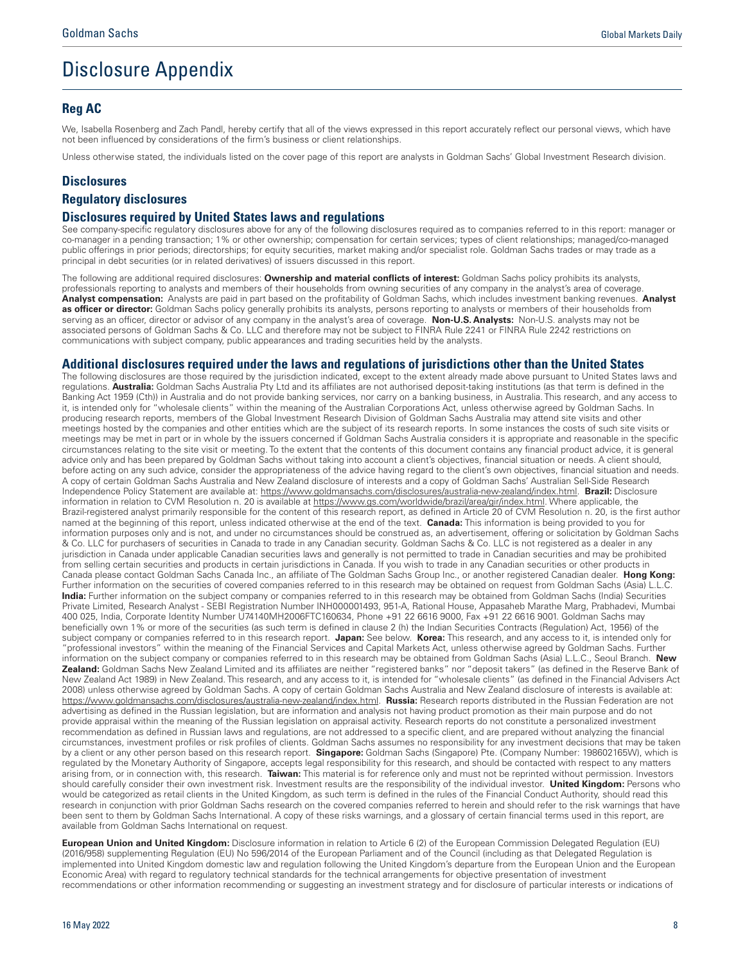# Disclosure Appendix

# **Reg AC**

We, Isabella Rosenberg and Zach Pandl, hereby certify that all of the views expressed in this report accurately reflect our personal views, which have not been influenced by considerations of the firm's business or client relationships.

Unless otherwise stated, the individuals listed on the cover page of this report are analysts in Goldman Sachs' Global Investment Research division.

# **Disclosures**

# **Regulatory disclosures**

## **Disclosures required by United States laws and regulations**

See company-specific regulatory disclosures above for any of the following disclosures required as to companies referred to in this report: manager or co-manager in a pending transaction; 1% or other ownership; compensation for certain services; types of client relationships; managed/co-managed public offerings in prior periods; directorships; for equity securities, market making and/or specialist role. Goldman Sachs trades or may trade as a principal in debt securities (or in related derivatives) of issuers discussed in this report.

The following are additional required disclosures: **Ownership and material conflicts of interest:** Goldman Sachs policy prohibits its analysts, professionals reporting to analysts and members of their households from owning securities of any company in the analyst's area of coverage. **Analyst compensation:** Analysts are paid in part based on the profitability of Goldman Sachs, which includes investment banking revenues. **Analyst** as officer or director: Goldman Sachs policy generally prohibits its analysts, persons reporting to analysts or members of their households from serving as an officer, director or advisor of any company in the analyst's area of coverage. **Non-U.S. Analysts:** Non-U.S. analysts may not be associated persons of Goldman Sachs & Co. LLC and therefore may not be subject to FINRA Rule 2241 or FINRA Rule 2242 restrictions on communications with subject company, public appearances and trading securities held by the analysts.

## **Additional disclosures required under the laws and regulations of jurisdictions other than the United States**

The following disclosures are those required by the jurisdiction indicated, except to the extent already made above pursuant to United States laws and regulations. **Australia:** Goldman Sachs Australia Pty Ltd and its affiliates are not authorised deposit-taking institutions (as that term is defined in the Banking Act 1959 (Cth)) in Australia and do not provide banking services, nor carry on a banking business, in Australia. This research, and any access to it, is intended only for "wholesale clients" within the meaning of the Australian Corporations Act, unless otherwise agreed by Goldman Sachs. In producing research reports, members of the Global Investment Research Division of Goldman Sachs Australia may attend site visits and other meetings hosted by the companies and other entities which are the subject of its research reports. In some instances the costs of such site visits or meetings may be met in part or in whole by the issuers concerned if Goldman Sachs Australia considers it is appropriate and reasonable in the specific circumstances relating to the site visit or meeting. To the extent that the contents of this document contains any financial product advice, it is general advice only and has been prepared by Goldman Sachs without taking into account a client's objectives, financial situation or needs. A client should, before acting on any such advice, consider the appropriateness of the advice having regard to the client's own objectives, financial situation and needs. A copy of certain Goldman Sachs Australia and New Zealand disclosure of interests and a copy of Goldman Sachs' Australian Sell-Side Research Independence Policy Statement are available at: [https://www.goldmansachs.com/disclosures/australia-new-zealand/index.html.](https://www.goldmansachs.com/disclosures/australia-new-zealand/index.html) **Brazil:** Disclosure information in relation to CVM Resolution n. 20 is available at [https://www.gs.com/worldwide/brazil/area/gir/index.html.](https://www.gs.com/worldwide/brazil/area/gir/index.html) Where applicable, the Brazil-registered analyst primarily responsible for the content of this research report, as defined in Article 20 of CVM Resolution n. 20, is the first author named at the beginning of this report, unless indicated otherwise at the end of the text. **Canada:** This information is being provided to you for information purposes only and is not, and under no circumstances should be construed as, an advertisement, offering or solicitation by Goldman Sachs & Co. LLC for purchasers of securities in Canada to trade in any Canadian security. Goldman Sachs & Co. LLC is not registered as a dealer in any jurisdiction in Canada under applicable Canadian securities laws and generally is not permitted to trade in Canadian securities and may be prohibited from selling certain securities and products in certain jurisdictions in Canada. If you wish to trade in any Canadian securities or other products in Canada please contact Goldman Sachs Canada Inc., an affiliate of The Goldman Sachs Group Inc., or another registered Canadian dealer. **Hong Kong:** Further information on the securities of covered companies referred to in this research may be obtained on request from Goldman Sachs (Asia) L.L.C. **India:** Further information on the subject company or companies referred to in this research may be obtained from Goldman Sachs (India) Securities Private Limited, Research Analyst - SEBI Registration Number INH000001493, 951-A, Rational House, Appasaheb Marathe Marg, Prabhadevi, Mumbai 400 025, India, Corporate Identity Number U74140MH2006FTC160634, Phone +91 22 6616 9000, Fax +91 22 6616 9001. Goldman Sachs may beneficially own 1% or more of the securities (as such term is defined in clause 2 (h) the Indian Securities Contracts (Regulation) Act, 1956) of the subject company or companies referred to in this research report. **Japan:** See below. **Korea:** This research, and any access to it, is intended only for "professional investors" within the meaning of the Financial Services and Capital Markets Act, unless otherwise agreed by Goldman Sachs. Further information on the subject company or companies referred to in this research may be obtained from Goldman Sachs (Asia) L.L.C., Seoul Branch. **New Zealand:** Goldman Sachs New Zealand Limited and its affiliates are neither "registered banks" nor "deposit takers" (as defined in the Reserve Bank of New Zealand Act 1989) in New Zealand. This research, and any access to it, is intended for "wholesale clients" (as defined in the Financial Advisers Act 2008) unless otherwise agreed by Goldman Sachs. A copy of certain Goldman Sachs Australia and New Zealand disclosure of interests is available at: [https://www.goldmansachs.com/disclosures/australia-new-zealand/index.html.](https://www.goldmansachs.com/disclosures/australia-new-zealand/index.html) **Russia:** Research reports distributed in the Russian Federation are not advertising as defined in the Russian legislation, but are information and analysis not having product promotion as their main purpose and do not provide appraisal within the meaning of the Russian legislation on appraisal activity. Research reports do not constitute a personalized investment recommendation as defined in Russian laws and regulations, are not addressed to a specific client, and are prepared without analyzing the financial circumstances, investment profiles or risk profiles of clients. Goldman Sachs assumes no responsibility for any investment decisions that may be taken by a client or any other person based on this research report. **Singapore:** Goldman Sachs (Singapore) Pte. (Company Number: 198602165W), which is regulated by the Monetary Authority of Singapore, accepts legal responsibility for this research, and should be contacted with respect to any matters arising from, or in connection with, this research. **Taiwan:** This material is for reference only and must not be reprinted without permission. Investors should carefully consider their own investment risk. Investment results are the responsibility of the individual investor. **United Kingdom:** Persons who would be categorized as retail clients in the United Kingdom, as such term is defined in the rules of the Financial Conduct Authority, should read this research in conjunction with prior Goldman Sachs research on the covered companies referred to herein and should refer to the risk warnings that have been sent to them by Goldman Sachs International. A copy of these risks warnings, and a glossary of certain financial terms used in this report, are available from Goldman Sachs International on request.

**European Union and United Kingdom:** Disclosure information in relation to Article 6 (2) of the European Commission Delegated Regulation (EU) (2016/958) supplementing Regulation (EU) No 596/2014 of the European Parliament and of the Council (including as that Delegated Regulation is implemented into United Kingdom domestic law and regulation following the United Kingdom's departure from the European Union and the European Economic Area) with regard to regulatory technical standards for the technical arrangements for objective presentation of investment recommendations or other information recommending or suggesting an investment strategy and for disclosure of particular interests or indications of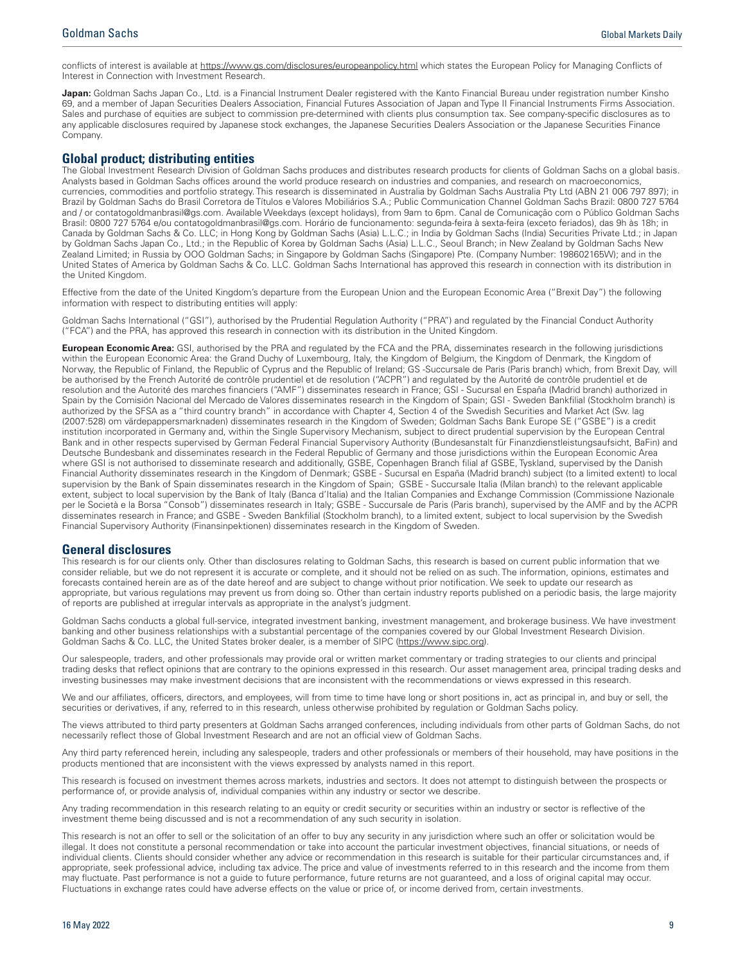conflicts of interest is available at<https://www.gs.com/disclosures/europeanpolicy.html>which states the European Policy for Managing Conflicts of Interest in Connection with Investment Research.

**Japan:** Goldman Sachs Japan Co., Ltd. is a Financial Instrument Dealer registered with the Kanto Financial Bureau under registration number Kinsho 69, and a member of Japan Securities Dealers Association, Financial Futures Association of Japan and Type II Financial Instruments Firms Association. Sales and purchase of equities are subject to commission pre-determined with clients plus consumption tax. See company-specific disclosures as to any applicable disclosures required by Japanese stock exchanges, the Japanese Securities Dealers Association or the Japanese Securities Finance Company.

## **Global product; distributing entities**

The Global Investment Research Division of Goldman Sachs produces and distributes research products for clients of Goldman Sachs on a global basis. Analysts based in Goldman Sachs offices around the world produce research on industries and companies, and research on macroeconomics, currencies, commodities and portfolio strategy. This research is disseminated in Australia by Goldman Sachs Australia Pty Ltd (ABN 21 006 797 897); in Brazil by Goldman Sachs do Brasil Corretora de Títulos e Valores Mobiliários S.A.; Public Communication Channel Goldman Sachs Brazil: 0800 727 5764 and / or contatogoldmanbrasil@gs.com. Available Weekdays (except holidays), from 9am to 6pm. Canal de Comunicação com o Público Goldman Sachs Brasil: 0800 727 5764 e/ou contatogoldmanbrasil@gs.com. Horário de funcionamento: segunda-feira à sexta-feira (exceto feriados), das 9h às 18h; in Canada by Goldman Sachs & Co. LLC; in Hong Kong by Goldman Sachs (Asia) L.L.C.; in India by Goldman Sachs (India) Securities Private Ltd.; in Japan by Goldman Sachs Japan Co., Ltd.; in the Republic of Korea by Goldman Sachs (Asia) L.L.C., Seoul Branch; in New Zealand by Goldman Sachs New Zealand Limited; in Russia by OOO Goldman Sachs; in Singapore by Goldman Sachs (Singapore) Pte. (Company Number: 198602165W); and in the United States of America by Goldman Sachs & Co. LLC. Goldman Sachs International has approved this research in connection with its distribution in the United Kingdom.

Effective from the date of the United Kingdom's departure from the European Union and the European Economic Area ("Brexit Day") the following information with respect to distributing entities will apply:

Goldman Sachs International ("GSI"), authorised by the Prudential Regulation Authority ("PRA") and regulated by the Financial Conduct Authority ("FCA") and the PRA, has approved this research in connection with its distribution in the United Kingdom.

**European Economic Area:** GSI, authorised by the PRA and regulated by the FCA and the PRA, disseminates research in the following jurisdictions within the European Economic Area: the Grand Duchy of Luxembourg, Italy, the Kingdom of Belgium, the Kingdom of Denmark, the Kingdom of Norway, the Republic of Finland, the Republic of Cyprus and the Republic of Ireland; GS -Succursale de Paris (Paris branch) which, from Brexit Day, will be authorised by the French Autorité de contrôle prudentiel et de resolution ("ACPR") and regulated by the Autorité de contrôle prudentiel et de resolution and the Autorité des marches financiers ("AMF") disseminates research in France; GSI - Sucursal en España (Madrid branch) authorized in Spain by the Comisión Nacional del Mercado de Valores disseminates research in the Kingdom of Spain; GSI - Sweden Bankfilial (Stockholm branch) is authorized by the SFSA as a "third country branch" in accordance with Chapter 4, Section 4 of the Swedish Securities and Market Act (Sw. lag (2007:528) om värdepappersmarknaden) disseminates research in the Kingdom of Sweden; Goldman Sachs Bank Europe SE ("GSBE") is a credit institution incorporated in Germany and, within the Single Supervisory Mechanism, subject to direct prudential supervision by the European Central Bank and in other respects supervised by German Federal Financial Supervisory Authority (Bundesanstalt für Finanzdienstleistungsaufsicht, BaFin) and Deutsche Bundesbank and disseminates research in the Federal Republic of Germany and those jurisdictions within the European Economic Area where GSI is not authorised to disseminate research and additionally, GSBE, Copenhagen Branch filial af GSBE, Tyskland, supervised by the Danish Financial Authority disseminates research in the Kingdom of Denmark; GSBE - Sucursal en España (Madrid branch) subject (to a limited extent) to local supervision by the Bank of Spain disseminates research in the Kingdom of Spain; GSBE - Succursale Italia (Milan branch) to the relevant applicable extent, subject to local supervision by the Bank of Italy (Banca d'Italia) and the Italian Companies and Exchange Commission (Commissione Nazionale per le Società e la Borsa "Consob") disseminates research in Italy; GSBE - Succursale de Paris (Paris branch), supervised by the AMF and by the ACPR disseminates research in France; and GSBE - Sweden Bankfilial (Stockholm branch), to a limited extent, subject to local supervision by the Swedish Financial Supervisory Authority (Finansinpektionen) disseminates research in the Kingdom of Sweden.

# **General disclosures**

This research is for our clients only. Other than disclosures relating to Goldman Sachs, this research is based on current public information that we consider reliable, but we do not represent it is accurate or complete, and it should not be relied on as such. The information, opinions, estimates and forecasts contained herein are as of the date hereof and are subject to change without prior notification. We seek to update our research as appropriate, but various regulations may prevent us from doing so. Other than certain industry reports published on a periodic basis, the large majority of reports are published at irregular intervals as appropriate in the analyst's judgment.

Goldman Sachs conducts a global full-service, integrated investment banking, investment management, and brokerage business. We have investment banking and other business relationships with a substantial percentage of the companies covered by our Global Investment Research Division. Goldman Sachs & Co. LLC, the United States broker dealer, is a member of SIPC [\(https://www.sipc.org\)](https://www.sipc.org).

Our salespeople, traders, and other professionals may provide oral or written market commentary or trading strategies to our clients and principal trading desks that reflect opinions that are contrary to the opinions expressed in this research. Our asset management area, principal trading desks and investing businesses may make investment decisions that are inconsistent with the recommendations or views expressed in this research.

We and our affiliates, officers, directors, and employees, will from time to time have long or short positions in, act as principal in, and buy or sell, the securities or derivatives, if any, referred to in this research, unless otherwise prohibited by regulation or Goldman Sachs policy.

The views attributed to third party presenters at Goldman Sachs arranged conferences, including individuals from other parts of Goldman Sachs, do not necessarily reflect those of Global Investment Research and are not an official view of Goldman Sachs.

Any third party referenced herein, including any salespeople, traders and other professionals or members of their household, may have positions in the products mentioned that are inconsistent with the views expressed by analysts named in this report.

This research is focused on investment themes across markets, industries and sectors. It does not attempt to distinguish between the prospects or performance of, or provide analysis of, individual companies within any industry or sector we describe.

Any trading recommendation in this research relating to an equity or credit security or securities within an industry or sector is reflective of the investment theme being discussed and is not a recommendation of any such security in isolation.

This research is not an offer to sell or the solicitation of an offer to buy any security in any jurisdiction where such an offer or solicitation would be illegal. It does not constitute a personal recommendation or take into account the particular investment objectives, financial situations, or needs of individual clients. Clients should consider whether any advice or recommendation in this research is suitable for their particular circumstances and, if appropriate, seek professional advice, including tax advice. The price and value of investments referred to in this research and the income from them may fluctuate. Past performance is not a guide to future performance, future returns are not guaranteed, and a loss of original capital may occur. Fluctuations in exchange rates could have adverse effects on the value or price of, or income derived from, certain investments.